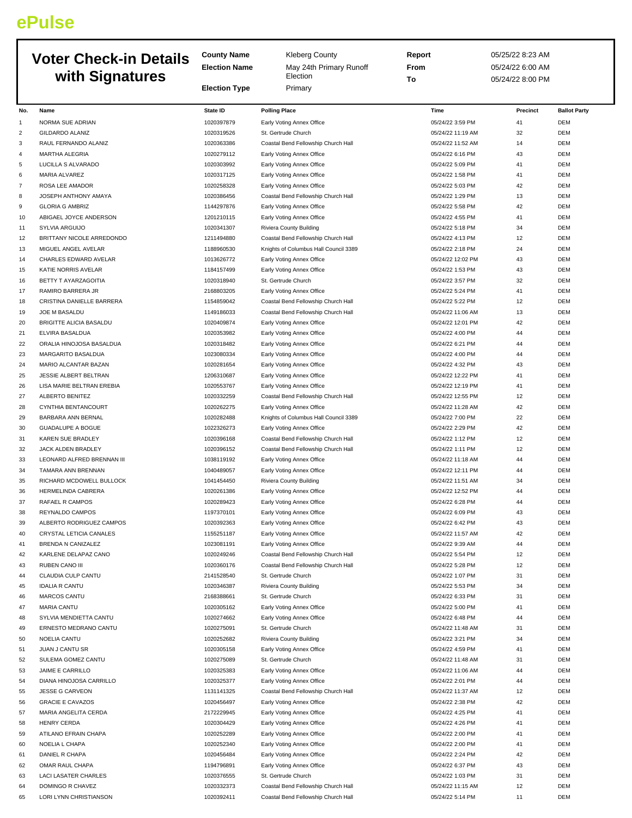## **ePulse**

|                |                                              | <b>County Name</b>       | <b>Kleberg County</b>                                                      | Report                                | 05/25/22 8:23 AM |                          |
|----------------|----------------------------------------------|--------------------------|----------------------------------------------------------------------------|---------------------------------------|------------------|--------------------------|
|                | <b>Voter Check-in Details</b>                | <b>Election Name</b>     | May 24th Primary Runoff                                                    | From                                  | 05/24/22 6:00 AM |                          |
|                | with Signatures                              |                          | Election                                                                   | To                                    | 05/24/22 8:00 PM |                          |
|                |                                              | <b>Election Type</b>     | Primary                                                                    |                                       |                  |                          |
| No.            | Name                                         | State ID                 | <b>Polling Place</b>                                                       | Time                                  | Precinct         | <b>Ballot Party</b>      |
| 1              | NORMA SUE ADRIAN                             | 1020397879               | Early Voting Annex Office                                                  | 05/24/22 3:59 PM                      | 41               | <b>DEM</b>               |
| 2              | <b>GILDARDO ALANIZ</b>                       | 1020319526               | St. Gertrude Church                                                        | 05/24/22 11:19 AM                     | 32               | <b>DEM</b>               |
| 3              | RAUL FERNANDO ALANIZ                         | 1020363386               | Coastal Bend Fellowship Church Hall                                        | 05/24/22 11:52 AM                     | 14               | <b>DEM</b>               |
| $\overline{4}$ | MARTHA ALEGRIA                               | 1020279112               | Early Voting Annex Office                                                  | 05/24/22 6:16 PM                      | 43               | <b>DEM</b>               |
| 5              | LUCILLA S ALVARADO                           | 1020303992               | Early Voting Annex Office                                                  | 05/24/22 5:09 PM                      | 41               | <b>DEM</b>               |
| 6              | MARIA ALVAREZ                                | 1020317125               | Early Voting Annex Office                                                  | 05/24/22 1:58 PM                      | 41               | <b>DEM</b>               |
| $\overline{7}$ | ROSA LEE AMADOR                              | 1020258328               | Early Voting Annex Office                                                  | 05/24/22 5:03 PM                      | 42               | <b>DEM</b>               |
| 8              | JOSEPH ANTHONY AMAYA                         | 1020386456               | Coastal Bend Fellowship Church Hall                                        | 05/24/22 1:29 PM                      | 13               | <b>DEM</b>               |
| 9              | <b>GLORIA G AMBRIZ</b>                       | 1144297876               | Early Voting Annex Office                                                  | 05/24/22 5:58 PM                      | 42               | <b>DEM</b>               |
| 10             | ABIGAEL JOYCE ANDERSON                       | 1201210115               | Early Voting Annex Office                                                  | 05/24/22 4:55 PM                      | 41               | <b>DEM</b>               |
| 11             | SYLVIA ARGUIJO                               | 1020341307               | Riviera County Building                                                    | 05/24/22 5:18 PM                      | 34               | <b>DEM</b>               |
| 12             | BRITTANY NICOLE ARREDONDO                    | 1211494880<br>1188960530 | Coastal Bend Fellowship Church Hall                                        | 05/24/22 4:13 PM<br>05/24/22 2:18 PM  | 12<br>24         | <b>DEM</b><br><b>DEM</b> |
| 13<br>14       | MIGUEL ANGEL AVELAR<br>CHARLES EDWARD AVELAR | 1013626772               | Knights of Columbus Hall Council 3389<br>Early Voting Annex Office         | 05/24/22 12:02 PM                     | 43               | <b>DEM</b>               |
| 15             | KATIE NORRIS AVELAR                          | 1184157499               | Early Voting Annex Office                                                  | 05/24/22 1:53 PM                      | 43               | <b>DEM</b>               |
| 16             | BETTY T AYARZAGOITIA                         | 1020318940               | St. Gertrude Church                                                        | 05/24/22 3:57 PM                      | 32               | <b>DEM</b>               |
| 17             | RAMIRO BARRERA JR                            | 2168803205               | Early Voting Annex Office                                                  | 05/24/22 5:24 PM                      | 41               | <b>DEM</b>               |
| 18             | CRISTINA DANIELLE BARRERA                    | 1154859042               | Coastal Bend Fellowship Church Hall                                        | 05/24/22 5:22 PM                      | 12               | <b>DEM</b>               |
| 19             | JOE M BASALDU                                | 1149186033               | Coastal Bend Fellowship Church Hall                                        | 05/24/22 11:06 AM                     | 13               | <b>DEM</b>               |
| 20             | BRIGITTE ALICIA BASALDU                      | 1020409874               | Early Voting Annex Office                                                  | 05/24/22 12:01 PM                     | 42               | <b>DEM</b>               |
| 21             | ELVIRA BASALDUA                              | 1020353982               | Early Voting Annex Office                                                  | 05/24/22 4:00 PM                      | 44               | <b>DEM</b>               |
| 22             | ORALIA HINOJOSA BASALDUA                     | 1020318482               | Early Voting Annex Office                                                  | 05/24/22 6:21 PM                      | 44               | <b>DEM</b>               |
| 23             | MARGARITO BASALDUA                           | 1023080334               | Early Voting Annex Office                                                  | 05/24/22 4:00 PM                      | 44               | <b>DEM</b>               |
| 24             | MARIO ALCANTAR BAZAN                         | 1020281654               | Early Voting Annex Office                                                  | 05/24/22 4:32 PM                      | 43               | <b>DEM</b>               |
| 25             | JESSIE ALBERT BELTRAN                        | 1206310687               | Early Voting Annex Office                                                  | 05/24/22 12:22 PM                     | 41               | <b>DEM</b>               |
| 26             | LISA MARIE BELTRAN EREBIA                    | 1020553767               | Early Voting Annex Office                                                  | 05/24/22 12:19 PM                     | 41               | <b>DEM</b>               |
| 27             | ALBERTO BENITEZ                              | 1020332259               | Coastal Bend Fellowship Church Hall                                        | 05/24/22 12:55 PM                     | 12               | <b>DEM</b>               |
| 28<br>29       | CYNTHIA BENTANCOURT<br>BARBARA ANN BERNAL    | 1020262275<br>1020282488 | Early Voting Annex Office<br>Knights of Columbus Hall Council 3389         | 05/24/22 11:28 AM<br>05/24/22 7:00 PM | 42<br>22         | <b>DEM</b><br><b>DEM</b> |
| 30             | <b>GUADALUPE A BOGUE</b>                     | 1022326273               | Early Voting Annex Office                                                  | 05/24/22 2:29 PM                      | 42               | <b>DEM</b>               |
| 31             | KAREN SUE BRADLEY                            | 1020396168               | Coastal Bend Fellowship Church Hall                                        | 05/24/22 1:12 PM                      | 12               | <b>DEM</b>               |
| 32             | JACK ALDEN BRADLEY                           | 1020396152               | Coastal Bend Fellowship Church Hall                                        | 05/24/22 1:11 PM                      | 12               | <b>DEM</b>               |
| 33             | LEONARD ALFRED BRENNAN III                   | 1038119192               | Early Voting Annex Office                                                  | 05/24/22 11:18 AM                     | 44               | <b>DEM</b>               |
| 34             | TAMARA ANN BRENNAN                           | 1040489057               | Early Voting Annex Office                                                  | 05/24/22 12:11 PM                     | 44               | <b>DEM</b>               |
| 35             | RICHARD MCDOWELL BULLOCK                     | 1041454450               | Riviera County Building                                                    | 05/24/22 11:51 AM                     | 34               | <b>DEM</b>               |
| 36             | <b>HERMELINDA CABRERA</b>                    | 1020261386               | Early Voting Annex Office                                                  | 05/24/22 12:52 PM                     | 44               | <b>DEM</b>               |
| 37             | RAFAEL R CAMPOS                              | 1020289423               | Early Voting Annex Office                                                  | 05/24/22 6:28 PM                      | 44               | <b>DEM</b>               |
| 38             | REYNALDO CAMPOS                              | 1197370101               | Early Voting Annex Office                                                  | 05/24/22 6:09 PM                      | 43               | <b>DEM</b>               |
| 39             | ALBERTO RODRIGUEZ CAMPOS                     | 1020392363               | Early Voting Annex Office                                                  | 05/24/22 6:42 PM                      | 43               | <b>DEM</b>               |
| 40             | CRYSTAL LETICIA CANALES                      | 1155251187               | Early Voting Annex Office                                                  | 05/24/22 11:57 AM                     | 42               | <b>DEM</b>               |
| 41             | BRENDA N CANIZALEZ                           | 1023081191               | Early Voting Annex Office                                                  | 05/24/22 9:39 AM                      | 44<br>12         | <b>DEM</b>               |
| 42<br>43       | KARLENE DELAPAZ CANO<br>RUBEN CANO III       | 1020249246<br>1020360176 | Coastal Bend Fellowship Church Hall<br>Coastal Bend Fellowship Church Hall | 05/24/22 5:54 PM<br>05/24/22 5:28 PM  | 12               | <b>DEM</b><br><b>DEM</b> |
| 44             | CLAUDIA CULP CANTU                           | 2141528540               | St. Gertrude Church                                                        | 05/24/22 1:07 PM                      | 31               | <b>DEM</b>               |
| 45             | <b>IDALIA R CANTU</b>                        | 1020346387               | Riviera County Building                                                    | 05/24/22 5:53 PM                      | 34               | <b>DEM</b>               |
| 46             | MARCOS CANTU                                 | 2168388661               | St. Gertrude Church                                                        | 05/24/22 6:33 PM                      | 31               | <b>DEM</b>               |
| 47             | <b>MARIA CANTU</b>                           | 1020305162               | Early Voting Annex Office                                                  | 05/24/22 5:00 PM                      | 41               | DEM                      |
| 48             | SYLVIA MENDIETTA CANTU                       | 1020274662               | Early Voting Annex Office                                                  | 05/24/22 6:48 PM                      | 44               | <b>DEM</b>               |
| 49             | ERNESTO MEDRANO CANTU                        | 1020275091               | St. Gertrude Church                                                        | 05/24/22 11:48 AM                     | 31               | <b>DEM</b>               |
| 50             | NOELIA CANTU                                 | 1020252682               | Riviera County Building                                                    | 05/24/22 3:21 PM                      | 34               | <b>DEM</b>               |
| 51             | JUAN J CANTU SR                              | 1020305158               | Early Voting Annex Office                                                  | 05/24/22 4:59 PM                      | 41               | <b>DEM</b>               |
| 52             | SULEMA GOMEZ CANTU                           | 1020275089               | St. Gertrude Church                                                        | 05/24/22 11:48 AM                     | 31               | DEM                      |
| 53             | JAIME E CARRILLO                             | 1020325383               | Early Voting Annex Office                                                  | 05/24/22 11:06 AM                     | 44               | <b>DEM</b>               |
| 54             | DIANA HINOJOSA CARRILLO                      | 1020325377               | Early Voting Annex Office                                                  | 05/24/22 2:01 PM                      | 44               | <b>DEM</b>               |
| 55             | JESSE G CARVEON                              | 1131141325               | Coastal Bend Fellowship Church Hall                                        | 05/24/22 11:37 AM                     | 12               | <b>DEM</b>               |
| 56             | <b>GRACIE E CAVAZOS</b>                      | 1020456497               | Early Voting Annex Office                                                  | 05/24/22 2:38 PM                      | 42<br>41         | <b>DEM</b>               |
| 57<br>58       | MARIA ANGELITA CERDA<br><b>HENRY CERDA</b>   | 2172229945<br>1020304429 | Early Voting Annex Office<br>Early Voting Annex Office                     | 05/24/22 4:25 PM<br>05/24/22 4:26 PM  | 41               | DEM<br><b>DEM</b>        |
| 59             | ATILANO EFRAIN CHAPA                         | 1020252289               | Early Voting Annex Office                                                  | 05/24/22 2:00 PM                      | 41               | <b>DEM</b>               |
| 60             | NOELIA L CHAPA                               | 1020252340               | Early Voting Annex Office                                                  | 05/24/22 2:00 PM                      | 41               | <b>DEM</b>               |
| 61             | DANIEL R CHAPA                               | 1020456484               | Early Voting Annex Office                                                  | 05/24/22 2:24 PM                      | 42               | <b>DEM</b>               |
| 62             | OMAR RAUL CHAPA                              | 1194796891               | Early Voting Annex Office                                                  | 05/24/22 6:37 PM                      | 43               | <b>DEM</b>               |
| 63             | <b>LACI LASATER CHARLES</b>                  | 1020376555               | St. Gertrude Church                                                        | 05/24/22 1:03 PM                      | 31               | <b>DEM</b>               |
| 64             | DOMINGO R CHAVEZ                             | 1020332373               | Coastal Bend Fellowship Church Hall                                        | 05/24/22 11:15 AM                     | 12               | <b>DEM</b>               |
| 65             | LORI LYNN CHRISTIANSON                       | 1020392411               | Coastal Bend Fellowship Church Hall                                        | 05/24/22 5:14 PM                      | 11               | <b>DEM</b>               |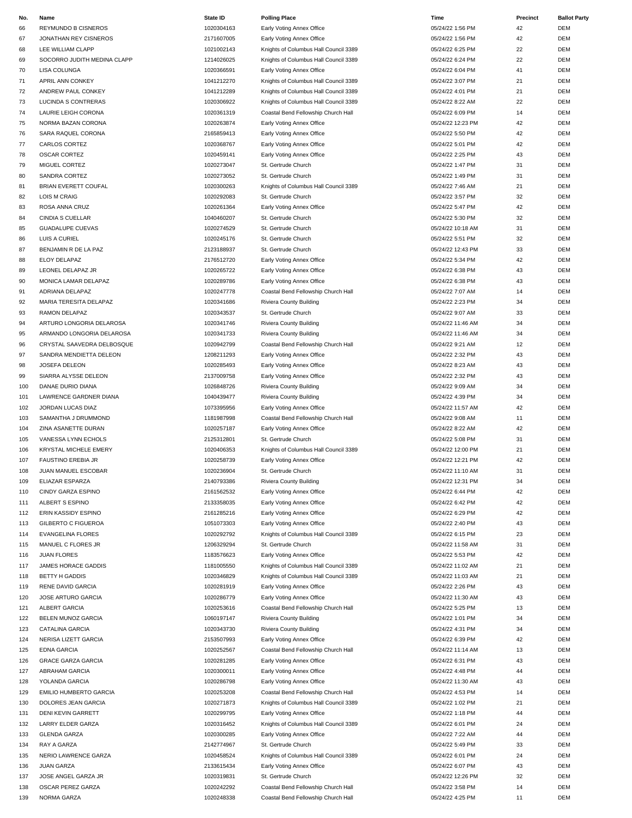| No. | Name                         | State ID   | <b>Polling Place</b>                  | Time              | Precinct | <b>Ballot Party</b> |
|-----|------------------------------|------------|---------------------------------------|-------------------|----------|---------------------|
| 66  | REYMUNDO B CISNEROS          | 1020304163 | Early Voting Annex Office             | 05/24/22 1:56 PM  | 42       | <b>DEM</b>          |
| 67  | JONATHAN REY CISNEROS        | 2171607005 | Early Voting Annex Office             | 05/24/22 1:56 PM  | 42       | <b>DEM</b>          |
|     |                              | 1021002143 |                                       |                   |          |                     |
| 68  | LEE WILLIAM CLAPP            |            | Knights of Columbus Hall Council 3389 | 05/24/22 6:25 PM  | 22       | DEM                 |
| 69  | SOCORRO JUDITH MEDINA CLAPP  | 1214026025 | Knights of Columbus Hall Council 3389 | 05/24/22 6:24 PM  | 22       | <b>DEM</b>          |
| 70  | LISA COLUNGA                 | 1020366591 | Early Voting Annex Office             | 05/24/22 6:04 PM  | 41       | <b>DEM</b>          |
| 71  | APRIL ANN CONKEY             | 1041212270 | Knights of Columbus Hall Council 3389 | 05/24/22 3:07 PM  | 21       | <b>DEM</b>          |
| 72  | ANDREW PAUL CONKEY           | 1041212289 | Knights of Columbus Hall Council 3389 | 05/24/22 4:01 PM  | 21       | <b>DEM</b>          |
| 73  | LUCINDA S CONTRERAS          | 1020306922 | Knights of Columbus Hall Council 3389 | 05/24/22 8:22 AM  | 22       | <b>DEM</b>          |
| 74  | LAURIE LEIGH CORONA          | 1020361319 | Coastal Bend Fellowship Church Hall   | 05/24/22 6:09 PM  | 14       | DEM                 |
|     |                              |            |                                       |                   |          |                     |
| 75  | NORMA BAZAN CORONA           | 1020263874 | Early Voting Annex Office             | 05/24/22 12:23 PM | 42       | <b>DEM</b>          |
| 76  | SARA RAQUEL CORONA           | 2165859413 | Early Voting Annex Office             | 05/24/22 5:50 PM  | 42       | <b>DEM</b>          |
| 77  | <b>CARLOS CORTEZ</b>         | 1020368767 | Early Voting Annex Office             | 05/24/22 5:01 PM  | 42       | <b>DEM</b>          |
| 78  | <b>OSCAR CORTEZ</b>          | 1020459141 | Early Voting Annex Office             | 05/24/22 2:25 PM  | 43       | <b>DEM</b>          |
| 79  | MIGUEL CORTEZ                | 1020273047 | St. Gertrude Church                   | 05/24/22 1:47 PM  | 31       | <b>DEM</b>          |
| 80  | SANDRA CORTEZ                | 1020273052 | St. Gertrude Church                   | 05/24/22 1:49 PM  | 31       | <b>DEM</b>          |
|     |                              |            |                                       |                   |          |                     |
| 81  | BRIAN EVERETT COUFAL         | 1020300263 | Knights of Columbus Hall Council 3389 | 05/24/22 7:46 AM  | 21       | <b>DEM</b>          |
| 82  | <b>LOIS M CRAIG</b>          | 1020292083 | St. Gertrude Church                   | 05/24/22 3:57 PM  | 32       | <b>DEM</b>          |
| 83  | ROSA ANNA CRUZ               | 1020261364 | Early Voting Annex Office             | 05/24/22 5:47 PM  | 42       | <b>DEM</b>          |
| 84  | <b>CINDIA S CUELLAR</b>      | 1040460207 | St. Gertrude Church                   | 05/24/22 5:30 PM  | 32       | <b>DEM</b>          |
| 85  | <b>GUADALUPE CUEVAS</b>      | 1020274529 | St. Gertrude Church                   | 05/24/22 10:18 AM | 31       | <b>DEM</b>          |
| 86  | LUIS A CURIEL                | 1020245176 | St. Gertrude Church                   | 05/24/22 5:51 PM  | 32       | <b>DEM</b>          |
|     |                              |            |                                       |                   |          |                     |
| 87  | BENJAMIN R DE LA PAZ         | 2123188937 | St. Gertrude Church                   | 05/24/22 12:43 PM | 33       | <b>DEM</b>          |
| 88  | ELOY DELAPAZ                 | 2176512720 | Early Voting Annex Office             | 05/24/22 5:34 PM  | 42       | <b>DEM</b>          |
| 89  | LEONEL DELAPAZ JR            | 1020265722 | Early Voting Annex Office             | 05/24/22 6:38 PM  | 43       | <b>DEM</b>          |
| 90  | MONICA LAMAR DELAPAZ         | 1020289786 | Early Voting Annex Office             | 05/24/22 6:38 PM  | 43       | <b>DEM</b>          |
| 91  | ADRIANA DELAPAZ              | 1020247778 | Coastal Bend Fellowship Church Hall   | 05/24/22 7:07 AM  | 14       | <b>DEM</b>          |
|     |                              |            |                                       |                   | 34       |                     |
| 92  | MARIA TERESITA DELAPAZ       | 1020341686 | Riviera County Building               | 05/24/22 2:23 PM  |          | <b>DEM</b>          |
| 93  | RAMON DELAPAZ                | 1020343537 | St. Gertrude Church                   | 05/24/22 9:07 AM  | 33       | <b>DEM</b>          |
| 94  | ARTURO LONGORIA DELAROSA     | 1020341746 | Riviera County Building               | 05/24/22 11:46 AM | 34       | <b>DEM</b>          |
| 95  | ARMANDO LONGORIA DELAROSA    | 1020341733 | Riviera County Building               | 05/24/22 11:46 AM | 34       | <b>DEM</b>          |
| 96  | CRYSTAL SAAVEDRA DELBOSQUE   | 1020942799 | Coastal Bend Fellowship Church Hall   | 05/24/22 9:21 AM  | 12       | <b>DEM</b>          |
| 97  | SANDRA MENDIETTA DELEON      | 1208211293 | Early Voting Annex Office             | 05/24/22 2:32 PM  | 43       | <b>DEM</b>          |
|     |                              |            |                                       |                   |          |                     |
| 98  | JOSEFA DELEON                | 1020285493 | Early Voting Annex Office             | 05/24/22 8:23 AM  | 43       | <b>DEM</b>          |
| 99  | SIARRA ALYSSE DELEON         | 2137009758 | Early Voting Annex Office             | 05/24/22 2:32 PM  | 43       | <b>DEM</b>          |
| 100 | DANAE DURIO DIANA            | 1026848726 | Riviera County Building               | 05/24/22 9:09 AM  | 34       | <b>DEM</b>          |
| 101 | LAWRENCE GARDNER DIANA       | 1040439477 | Riviera County Building               | 05/24/22 4:39 PM  | 34       | <b>DEM</b>          |
| 102 | JORDAN LUCAS DIAZ            | 1073395956 | Early Voting Annex Office             | 05/24/22 11:57 AM | 42       | <b>DEM</b>          |
| 103 | SAMANTHA J DRUMMOND          | 1181987998 | Coastal Bend Fellowship Church Hall   | 05/24/22 9:08 AM  | 11       | <b>DEM</b>          |
|     |                              |            |                                       |                   |          |                     |
| 104 | ZINA ASANETTE DURAN          | 1020257187 | Early Voting Annex Office             | 05/24/22 8:22 AM  | 42       | <b>DEM</b>          |
| 105 | VANESSA LYNN ECHOLS          | 2125312801 | St. Gertrude Church                   | 05/24/22 5:08 PM  | 31       | <b>DEM</b>          |
| 106 | <b>KRYSTAL MICHELE EMERY</b> | 1020406353 | Knights of Columbus Hall Council 3389 | 05/24/22 12:00 PM | 21       | <b>DEM</b>          |
| 107 | <b>FAUSTINO EREBIA JR</b>    | 1020258739 | Early Voting Annex Office             | 05/24/22 12:21 PM | 42       | <b>DEM</b>          |
| 108 | <b>JUAN MANUEL ESCOBAR</b>   | 1020236904 | St. Gertrude Church                   | 05/24/22 11:10 AM | 31       | <b>DEM</b>          |
|     |                              | 2140793386 |                                       | 05/24/22 12:31 PM | 34       | DEM                 |
| 109 | ELIAZAR ESPARZA              |            | Riviera County Building               |                   |          |                     |
| 110 | CINDY GARZA ESPINO           | 2161562532 | Early Voting Annex Office             | 05/24/22 6:44 PM  | 42       | <b>DEM</b>          |
| 111 | ALBERT S ESPINO              | 2133358035 | Early Voting Annex Office             | 05/24/22 6:42 PM  | 42       | <b>DEM</b>          |
| 112 | ERIN KASSIDY ESPINO          | 2161285216 | Early Voting Annex Office             | 05/24/22 6:29 PM  | 42       | <b>DEM</b>          |
| 113 | <b>GILBERTO C FIGUEROA</b>   | 1051073303 | Early Voting Annex Office             | 05/24/22 2:40 PM  | 43       | <b>DEM</b>          |
| 114 | <b>EVANGELINA FLORES</b>     | 1020292792 | Knights of Columbus Hall Council 3389 | 05/24/22 6:15 PM  | 23       | DEM                 |
| 115 | MANUEL C FLORES JR           | 1206329294 | St. Gertrude Church                   | 05/24/22 11:58 AM | 31       | DEM                 |
|     |                              |            |                                       |                   |          |                     |
| 116 | <b>JUAN FLORES</b>           | 1183576623 | Early Voting Annex Office             | 05/24/22 5:53 PM  | 42       | <b>DEM</b>          |
| 117 | JAMES HORACE GADDIS          | 1181005550 | Knights of Columbus Hall Council 3389 | 05/24/22 11:02 AM | 21       | <b>DEM</b>          |
| 118 | <b>BETTY H GADDIS</b>        | 1020346829 | Knights of Columbus Hall Council 3389 | 05/24/22 11:03 AM | 21       | <b>DEM</b>          |
| 119 | RENE DAVID GARCIA            | 1020281919 | Early Voting Annex Office             | 05/24/22 2:26 PM  | 43       | DEM                 |
| 120 | JOSE ARTURO GARCIA           | 1020286779 | Early Voting Annex Office             | 05/24/22 11:30 AM | 43       | <b>DEM</b>          |
|     |                              | 1020253616 | Coastal Bend Fellowship Church Hall   |                   | 13       | DEM                 |
| 121 | ALBERT GARCIA                |            |                                       | 05/24/22 5:25 PM  |          |                     |
| 122 | BELEN MUNOZ GARCIA           | 1060197147 | Riviera County Building               | 05/24/22 1:01 PM  | 34       | <b>DEM</b>          |
| 123 | <b>CATALINA GARCIA</b>       | 1020343730 | Riviera County Building               | 05/24/22 4:31 PM  | 34       | <b>DEM</b>          |
| 124 | NERISA LIZETT GARCIA         | 2153507993 | Early Voting Annex Office             | 05/24/22 6:39 PM  | 42       | <b>DEM</b>          |
| 125 | <b>EDNA GARCIA</b>           | 1020252567 | Coastal Bend Fellowship Church Hall   | 05/24/22 11:14 AM | 13       | DEM                 |
| 126 | <b>GRACE GARZA GARCIA</b>    | 1020281285 | Early Voting Annex Office             | 05/24/22 6:31 PM  | 43       | <b>DEM</b>          |
|     |                              |            |                                       |                   | 44       | DEM                 |
| 127 | ABRAHAM GARCIA               | 1020300011 | Early Voting Annex Office             | 05/24/22 4:48 PM  |          |                     |
| 128 | YOLANDA GARCIA               | 1020286798 | Early Voting Annex Office             | 05/24/22 11:30 AM | 43       | <b>DEM</b>          |
| 129 | EMILIO HUMBERTO GARCIA       | 1020253208 | Coastal Bend Fellowship Church Hall   | 05/24/22 4:53 PM  | 14       | <b>DEM</b>          |
| 130 | DOLORES JEAN GARCIA          | 1020271873 | Knights of Columbus Hall Council 3389 | 05/24/22 1:02 PM  | 21       | <b>DEM</b>          |
| 131 | DENI KEVIN GARRETT           | 1020299795 | Early Voting Annex Office             | 05/24/22 1:18 PM  | 44       | <b>DEM</b>          |
| 132 | LARRY ELDER GARZA            | 1020316452 | Knights of Columbus Hall Council 3389 | 05/24/22 6:01 PM  | 24       | <b>DEM</b>          |
|     |                              | 1020300285 |                                       | 05/24/22 7:22 AM  |          | <b>DEM</b>          |
| 133 | <b>GLENDA GARZA</b>          |            | Early Voting Annex Office             |                   | 44       |                     |
| 134 | RAY A GARZA                  | 2142774967 | St. Gertrude Church                   | 05/24/22 5:49 PM  | 33       | DEM                 |
| 135 | NERIO LAWRENCE GARZA         | 1020458524 | Knights of Columbus Hall Council 3389 | 05/24/22 6:01 PM  | 24       | DEM                 |
| 136 | <b>JUAN GARZA</b>            | 2133615434 | Early Voting Annex Office             | 05/24/22 6:07 PM  | 43       | <b>DEM</b>          |
| 137 | JOSE ANGEL GARZA JR          | 1020319831 | St. Gertrude Church                   | 05/24/22 12:26 PM | 32       | <b>DEM</b>          |
| 138 | OSCAR PEREZ GARZA            | 1020242292 | Coastal Bend Fellowship Church Hall   | 05/24/22 3:58 PM  | 14       | <b>DEM</b>          |
| 139 | NORMA GARZA                  | 1020248338 | Coastal Bend Fellowship Church Hall   | 05/24/22 4:25 PM  | 11       | <b>DEM</b>          |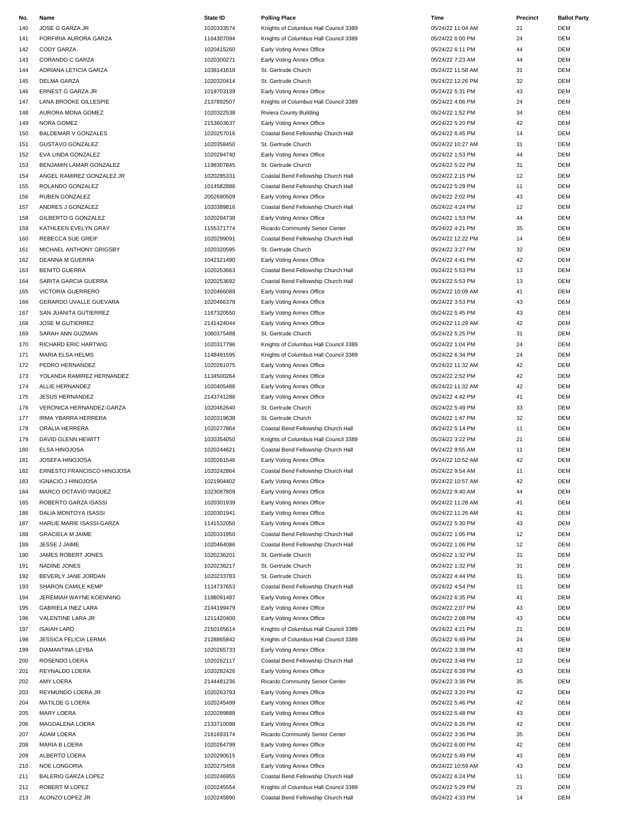| No. | Name                         | <b>State ID</b> | <b>Polling Place</b>                  | Time              | Precinct | <b>Ballot Party</b> |
|-----|------------------------------|-----------------|---------------------------------------|-------------------|----------|---------------------|
| 140 | JOSE G GARZA JR              | 1020333574      | Knights of Columbus Hall Council 3389 | 05/24/22 11:04 AM | 21       | <b>DEM</b>          |
| 141 | PORFIRIA AURORA GARZA        | 1164307094      | Knights of Columbus Hall Council 3389 | 05/24/22 6:00 PM  | 24       | <b>DEM</b>          |
| 142 | CODY GARZA                   | 1020415260      | Early Voting Annex Office             | 05/24/22 6:11 PM  | 44       | <b>DEM</b>          |
|     |                              |                 |                                       |                   |          |                     |
| 143 | CORANDO C GARZA              | 1020300271      | Early Voting Annex Office             | 05/24/22 7:23 AM  | 44       | <b>DEM</b>          |
| 144 | ADRIANA LETICIA GARZA        | 1038141618      | St. Gertrude Church                   | 05/24/22 11:58 AM | 31       | <b>DEM</b>          |
| 145 | <b>DELMA GARZA</b>           | 1020320414      | St. Gertrude Church                   | 05/24/22 12:26 PM | 32       | <b>DEM</b>          |
| 146 | ERNEST G GARZA JR            | 1019703139      | Early Voting Annex Office             | 05/24/22 5:31 PM  | 43       | <b>DEM</b>          |
| 147 | LANA BROOKE GILLESPIE        | 2137892507      | Knights of Columbus Hall Council 3389 | 05/24/22 4:06 PM  | 24       | <b>DEM</b>          |
| 148 | AURORA MONA GOMEZ            | 1020322538      | <b>Riviera County Building</b>        | 05/24/22 1:52 PM  | 34       | <b>DEM</b>          |
|     |                              |                 |                                       |                   |          |                     |
| 149 | NORA GOMEZ                   | 2153603637      | Early Voting Annex Office             | 05/24/22 5:20 PM  | 42       | <b>DEM</b>          |
| 150 | <b>BALDEMAR V GONZALES</b>   | 1020257016      | Coastal Bend Fellowship Church Hall   | 05/24/22 6:45 PM  | 14       | <b>DEM</b>          |
| 151 | <b>GUSTAVO GONZALEZ</b>      | 1020358450      | St. Gertrude Church                   | 05/24/22 10:27 AM | 31       | <b>DEM</b>          |
| 152 | EVA LINDA GONZALEZ           | 1020294740      | Early Voting Annex Office             | 05/24/22 1:53 PM  | 44       | <b>DEM</b>          |
| 153 | BENJAMIN LAMAR GONZALEZ      | 1198307845      | St. Gertrude Church                   | 05/24/22 5:22 PM  | 31       | <b>DEM</b>          |
| 154 | ANGEL RAMIREZ GONZALEZ JR    | 1020285331      | Coastal Bend Fellowship Church Hall   | 05/24/22 2:15 PM  | 12       | <b>DEM</b>          |
| 155 | ROLANDO GONZALEZ             | 1014582886      | Coastal Bend Fellowship Church Hall   | 05/24/22 5:29 PM  | 11       | <b>DEM</b>          |
|     |                              |                 |                                       |                   |          |                     |
| 156 | RUBEN GONZALEZ               | 2002690509      | Early Voting Annex Office             | 05/24/22 2:02 PM  | 43       | <b>DEM</b>          |
| 157 | ANDRES J GONZALEZ            | 1020389816      | Coastal Bend Fellowship Church Hall   | 05/24/22 4:24 PM  | 12       | <b>DEM</b>          |
| 158 | <b>GILBERTO G GONZALEZ</b>   | 1020294738      | Early Voting Annex Office             | 05/24/22 1:53 PM  | 44       | <b>DEM</b>          |
| 159 | KATHLEEN EVELYN GRAY         | 1155371774      | Ricardo Community Senior Center       | 05/24/22 4:21 PM  | 35       | <b>DEM</b>          |
| 160 | REBECCA SUE GREIF            | 1020299091      | Coastal Bend Fellowship Church Hall   | 05/24/22 12:22 PM | 14       | <b>DEM</b>          |
|     | MICHAEL ANTHONY GRIGSBY      | 1020320595      | St. Gertrude Church                   | 05/24/22 3:27 PM  | 32       | <b>DEM</b>          |
| 161 |                              |                 |                                       |                   |          |                     |
| 162 | <b>DEANNA M GUERRA</b>       | 1042121490      | Early Voting Annex Office             | 05/24/22 4:41 PM  | 42       | <b>DEM</b>          |
| 163 | <b>BENITO GUERRA</b>         | 1020253663      | Coastal Bend Fellowship Church Hall   | 05/24/22 5:53 PM  | 13       | <b>DEM</b>          |
| 164 | SARITA GARCIA GUERRA         | 1020253692      | Coastal Bend Fellowship Church Hall   | 05/24/22 5:53 PM  | 13       | <b>DEM</b>          |
| 165 | VICTORIA GUERRERO            | 1020466089      | Early Voting Annex Office             | 05/24/22 10:09 AM | 41       | <b>DEM</b>          |
| 166 | GERARDO UVALLE GUEVARA       | 1020466378      | Early Voting Annex Office             | 05/24/22 3:53 PM  | 43       | <b>DEM</b>          |
| 167 | SAN JUANITA GUTIERREZ        | 1167320550      | Early Voting Annex Office             | 05/24/22 5:45 PM  | 43       | <b>DEM</b>          |
|     |                              |                 |                                       |                   |          |                     |
| 168 | JOSE M GUTIERREZ             | 2141424044      | Early Voting Annex Office             | 05/24/22 11:29 AM | 42       | <b>DEM</b>          |
| 169 | SARAH ANN GUZMAN             | 1060375488      | St. Gertrude Church                   | 05/24/22 5:25 PM  | 31       | <b>DEM</b>          |
| 170 | RICHARD ERIC HARTWIG         | 1020317796      | Knights of Columbus Hall Council 3389 | 05/24/22 1:04 PM  | 24       | <b>DEM</b>          |
| 171 | MARIA ELSA HELMS             | 1148491595      | Knights of Columbus Hall Council 3389 | 05/24/22 6:34 PM  | 24       | <b>DEM</b>          |
| 172 | PEDRO HERNANDEZ              | 1020261075      | Early Voting Annex Office             | 05/24/22 11:32 AM | 42       | <b>DEM</b>          |
| 173 | YOLANDA RAMIREZ HERNANDEZ    | 1134500264      | Early Voting Annex Office             | 05/24/22 2:52 PM  | 42       | <b>DEM</b>          |
| 174 | ALLIE HERNANDEZ              | 1020405486      | Early Voting Annex Office             | 05/24/22 11:32 AM | 42       | <b>DEM</b>          |
|     |                              |                 |                                       |                   |          |                     |
| 175 | <b>JESUS HERNANDEZ</b>       | 2143741286      | Early Voting Annex Office             | 05/24/22 4:42 PM  | 41       | <b>DEM</b>          |
| 176 | VERONICA HERNANDEZ-GARZA     | 1020462640      | St. Gertrude Church                   | 05/24/22 5:49 PM  | 33       | <b>DEM</b>          |
| 177 | <b>IRMA YBARRA HERRERA</b>   | 1020319638      | St. Gertrude Church                   | 05/24/22 1:47 PM  | 32       | <b>DEM</b>          |
| 178 | ORALIA HERRERA               | 1020277864      | Coastal Bend Fellowship Church Hall   | 05/24/22 5:14 PM  | 11       | <b>DEM</b>          |
| 179 | DAVID GLENN HEWITT           | 1020354050      | Knights of Columbus Hall Council 3389 | 05/24/22 3:22 PM  | 21       | <b>DEM</b>          |
| 180 | ELSA HINOJOSA                | 1020244621      | Coastal Bend Fellowship Church Hall   | 05/24/22 9:55 AM  | 11       | <b>DEM</b>          |
|     |                              |                 |                                       |                   |          |                     |
| 181 | JOSEFA HINOJOSA              | 1020261546      | Early Voting Annex Office             | 05/24/22 10:52 AM | 42       | <b>DEM</b>          |
| 182 | ERNESTO FRANCISCO HINOJOSA   | 1020242864      | Coastal Bend Fellowship Church Hall   | 05/24/22 9:54 AM  | 11       | <b>DEM</b>          |
| 183 | <b>IGNACIO J HINOJOSA</b>    | 1021904402      | Early Voting Annex Office             | 05/24/22 10:57 AM | 42       | <b>DEM</b>          |
| 184 | MARCO OCTAVIO INIGUEZ        | 1023087809      | Early Voting Annex Office             | 05/24/22 9:40 AM  | 44       | <b>DEM</b>          |
| 185 | ROBERTO GARZA ISASSI         | 1020301939      | Early Voting Annex Office             | 05/24/22 11:28 AM | 41       | <b>DEM</b>          |
| 186 | DALIA MONTOYA ISASSI         | 1020301941      | Early Voting Annex Office             | 05/24/22 11:26 AM | 41       | <b>DEM</b>          |
|     |                              |                 |                                       |                   | 43       | <b>DEM</b>          |
| 187 | HARLIE MARIE ISASSI-GARZA    | 1141532050      | Early Voting Annex Office             | 05/24/22 5:30 PM  |          |                     |
| 188 | <b>GRACIELA M JAIME</b>      | 1020331950      | Coastal Bend Fellowship Church Hall   | 05/24/22 1:05 PM  | 12       | <b>DEM</b>          |
| 189 | JESSE J JAIME                | 1020464086      | Coastal Bend Fellowship Church Hall   | 05/24/22 1:06 PM  | 12       | <b>DEM</b>          |
| 190 | JAMES ROBERT JONES           | 1020236201      | St. Gertrude Church                   | 05/24/22 1:32 PM  | 31       | <b>DEM</b>          |
| 191 | NADINE JONES                 | 1020236217      | St. Gertrude Church                   | 05/24/22 1:32 PM  | 31       | <b>DEM</b>          |
| 192 | BEVERLY JANE JORDAN          | 1020233783      | St. Gertrude Church                   | 05/24/22 4:44 PM  | 31       | <b>DEM</b>          |
| 193 | <b>SHARON CAMILE KEMP</b>    | 1114737653      | Coastal Bend Fellowship Church Hall   | 05/24/22 4:54 PM  | 11       | <b>DEM</b>          |
|     | JEREMIAH WAYNE KOENNING      | 1188091487      |                                       |                   |          |                     |
| 194 |                              |                 | Early Voting Annex Office             | 05/24/22 6:35 PM  | 41       | <b>DEM</b>          |
| 195 | <b>GABRIELA INEZ LARA</b>    | 2144199479      | Early Voting Annex Office             | 05/24/22 2:07 PM  | 43       | <b>DEM</b>          |
| 196 | VALENTINE LARA JR            | 1211420400      | Early Voting Annex Office             | 05/24/22 2:08 PM  | 43       | <b>DEM</b>          |
| 197 | <b>ISAIAH LARD</b>           | 2150165614      | Knights of Columbus Hall Council 3389 | 05/24/22 4:21 PM  | 21       | <b>DEM</b>          |
| 198 | <b>JESSICA FELICIA LERMA</b> | 2128865842      | Knights of Columbus Hall Council 3389 | 05/24/22 6:49 PM  | 24       | <b>DEM</b>          |
| 199 | DIAMANTINA LEYBA             | 1020265733      | Early Voting Annex Office             | 05/24/22 3:38 PM  | 43       | <b>DEM</b>          |
|     | ROSENDO LOERA                | 1020262117      | Coastal Bend Fellowship Church Hall   | 05/24/22 3:48 PM  | 12       | <b>DEM</b>          |
| 200 |                              |                 |                                       |                   |          |                     |
| 201 | REYNALDO LOERA               | 1020282426      | Early Voting Annex Office             | 05/24/22 6:39 PM  | 43       | <b>DEM</b>          |
| 202 | AMY LOERA                    | 2144481236      | Ricardo Community Senior Center       | 05/24/22 3:36 PM  | 35       | <b>DEM</b>          |
| 203 | REYMUNDO LOERA JR            | 1020263793      | Early Voting Annex Office             | 05/24/22 3:20 PM  | 42       | <b>DEM</b>          |
| 204 | MATILDE G LOERA              | 1020245499      | Early Voting Annex Office             | 05/24/22 5:46 PM  | 42       | <b>DEM</b>          |
| 205 | <b>MARY LOERA</b>            | 1020289888      | Early Voting Annex Office             | 05/24/22 5:48 PM  | 43       | <b>DEM</b>          |
| 206 | MAGDALENA LOERA              | 2133710098      | Early Voting Annex Office             | 05/24/22 6:26 PM  | 42       | <b>DEM</b>          |
|     |                              |                 |                                       |                   |          |                     |
| 207 | ADAM LOERA                   | 2161693174      | Ricardo Community Senior Center       | 05/24/22 3:36 PM  | 35       | <b>DEM</b>          |
| 208 | MARIA B LOERA                | 1020264799      | Early Voting Annex Office             | 05/24/22 6:00 PM  | 42       | <b>DEM</b>          |
| 209 | ALBERTO LOERA                | 1020290615      | Early Voting Annex Office             | 05/24/22 5:49 PM  | 43       | <b>DEM</b>          |
| 210 | NOE LONGORIA                 | 1020275456      | Early Voting Annex Office             | 05/24/22 10:59 AM | 43       | <b>DEM</b>          |
| 211 | BALERIO GARZA LOPEZ          | 1020246955      | Coastal Bend Fellowship Church Hall   | 05/24/22 6:24 PM  | 11       | <b>DEM</b>          |
| 212 | ROBERT M LOPEZ               | 1020245554      | Knights of Columbus Hall Council 3389 | 05/24/22 5:29 PM  | 21       | <b>DEM</b>          |

ALONZO LOPEZ JR 1020245890 Coastal Bend Fellowship Church Hall 05/24/22 4:33 PM 14 DEM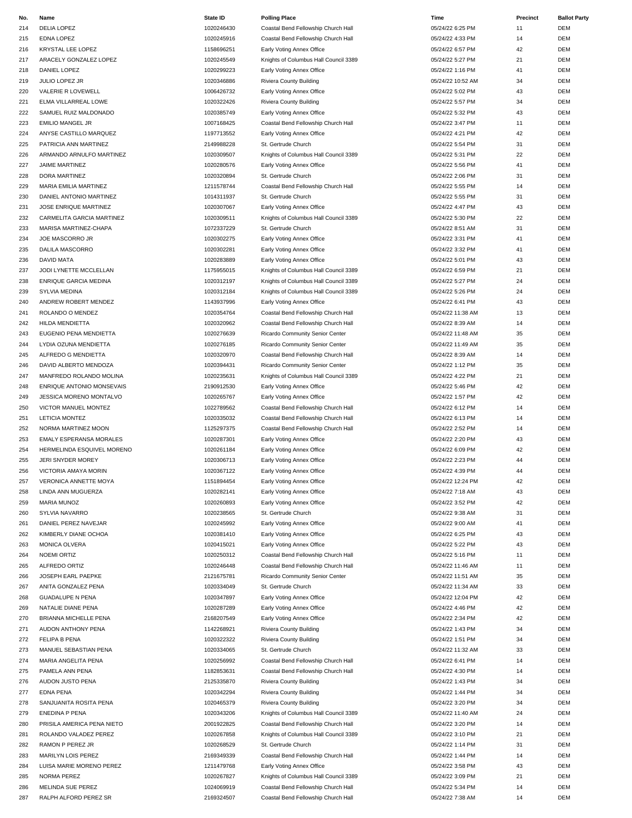| No. | Name                           | <b>State ID</b> | <b>Polling Place</b>                  | Time              | Precinct | <b>Ballot Party</b> |
|-----|--------------------------------|-----------------|---------------------------------------|-------------------|----------|---------------------|
| 214 | <b>DELIA LOPEZ</b>             | 1020246430      | Coastal Bend Fellowship Church Hall   | 05/24/22 6:25 PM  | 11       | <b>DEM</b>          |
| 215 | EDNA LOPEZ                     | 1020245916      | Coastal Bend Fellowship Church Hall   | 05/24/22 4:33 PM  | 14       | <b>DEM</b>          |
| 216 | KRYSTAL LEE LOPEZ              | 1158696251      | Early Voting Annex Office             | 05/24/22 6:57 PM  | 42       | <b>DEM</b>          |
| 217 | ARACELY GONZALEZ LOPEZ         | 1020245549      | Knights of Columbus Hall Council 3389 | 05/24/22 5:27 PM  | 21       | DEM                 |
| 218 | DANIEL LOPEZ                   | 1020299223      | Early Voting Annex Office             | 05/24/22 1:16 PM  | 41       | <b>DEM</b>          |
|     |                                | 1020346886      |                                       |                   |          |                     |
| 219 | JULIO LOPEZ JR                 |                 | Riviera County Building               | 05/24/22 10:52 AM | 34       | <b>DEM</b>          |
| 220 | VALERIE R LOVEWELL             | 1006426732      | Early Voting Annex Office             | 05/24/22 5:02 PM  | 43       | <b>DEM</b>          |
| 221 | ELMA VILLARREAL LOWE           | 1020322426      | Riviera County Building               | 05/24/22 5:57 PM  | 34       | <b>DEM</b>          |
| 222 | SAMUEL RUIZ MALDONADO          | 1020385749      | Early Voting Annex Office             | 05/24/22 5:32 PM  | 43       | DEM                 |
| 223 | <b>EMILIO MANGEL JR</b>        | 1007168425      | Coastal Bend Fellowship Church Hall   | 05/24/22 3:47 PM  | 11       | DEM                 |
| 224 | ANYSE CASTILLO MARQUEZ         | 1197713552      | Early Voting Annex Office             | 05/24/22 4:21 PM  | 42       | <b>DEM</b>          |
| 225 | PATRICIA ANN MARTINEZ          | 2149988228      | St. Gertrude Church                   | 05/24/22 5:54 PM  | 31       | <b>DEM</b>          |
| 226 | ARMANDO ARNULFO MARTINEZ       | 1020309507      | Knights of Columbus Hall Council 3389 | 05/24/22 5:31 PM  | 22       | DEM                 |
| 227 | JAIME MARTINEZ                 | 1020280576      | Early Voting Annex Office             | 05/24/22 5:56 PM  | 41       | DEM                 |
| 228 | DORA MARTINEZ                  | 1020320894      | St. Gertrude Church                   | 05/24/22 2:06 PM  | 31       | <b>DEM</b>          |
| 229 | MARIA EMILIA MARTINEZ          | 1211578744      | Coastal Bend Fellowship Church Hall   | 05/24/22 5:55 PM  | 14       | <b>DEM</b>          |
| 230 | DANIEL ANTONIO MARTINEZ        | 1014311937      | St. Gertrude Church                   | 05/24/22 5:55 PM  | 31       | <b>DEM</b>          |
| 231 | JOSE ENRIQUE MARTINEZ          | 1020307067      | Early Voting Annex Office             | 05/24/22 4:47 PM  | 43       | <b>DEM</b>          |
|     |                                | 1020309511      |                                       |                   |          |                     |
| 232 | CARMELITA GARCIA MARTINEZ      |                 | Knights of Columbus Hall Council 3389 | 05/24/22 5:30 PM  | 22       | DEM                 |
| 233 | MARISA MARTINEZ-CHAPA          | 1072337229      | St. Gertrude Church                   | 05/24/22 8:51 AM  | 31       | <b>DEM</b>          |
| 234 | JOE MASCORRO JR                | 1020302275      | Early Voting Annex Office             | 05/24/22 3:31 PM  | 41       | <b>DEM</b>          |
| 235 | DALILA MASCORRO                | 1020302281      | Early Voting Annex Office             | 05/24/22 3:32 PM  | 41       | <b>DEM</b>          |
| 236 | <b>DAVID MATA</b>              | 1020283889      | Early Voting Annex Office             | 05/24/22 5:01 PM  | 43       | DEM                 |
| 237 | JODI LYNETTE MCCLELLAN         | 1175955015      | Knights of Columbus Hall Council 3389 | 05/24/22 6:59 PM  | 21       | DEM                 |
| 238 | <b>ENRIQUE GARCIA MEDINA</b>   | 1020312197      | Knights of Columbus Hall Council 3389 | 05/24/22 5:27 PM  | 24       | <b>DEM</b>          |
| 239 | <b>SYLVIA MEDINA</b>           | 1020312184      | Knights of Columbus Hall Council 3389 | 05/24/22 5:26 PM  | 24       | <b>DEM</b>          |
| 240 | ANDREW ROBERT MENDEZ           | 1143937996      | Early Voting Annex Office             | 05/24/22 6:41 PM  | 43       | <b>DEM</b>          |
| 241 | ROLANDO O MENDEZ               | 1020354764      | Coastal Bend Fellowship Church Hall   | 05/24/22 11:38 AM | 13       | <b>DEM</b>          |
| 242 | <b>HILDA MENDIETTA</b>         | 1020320962      | Coastal Bend Fellowship Church Hall   | 05/24/22 8:39 AM  | 14       | <b>DEM</b>          |
| 243 | EUGENIO PENA MENDIETTA         | 1020276639      |                                       | 05/24/22 11:48 AM | 35       | <b>DEM</b>          |
|     |                                |                 | Ricardo Community Senior Center       |                   |          |                     |
| 244 | LYDIA OZUNA MENDIETTA          | 1020276185      | Ricardo Community Senior Center       | 05/24/22 11:49 AM | 35       | <b>DEM</b>          |
| 245 | ALFREDO G MENDIETTA            | 1020320970      | Coastal Bend Fellowship Church Hall   | 05/24/22 8:39 AM  | 14       | <b>DEM</b>          |
| 246 | DAVID ALBERTO MENDOZA          | 1020394431      | Ricardo Community Senior Center       | 05/24/22 1:12 PM  | 35       | DEM                 |
| 247 | MANFREDO ROLANDO MOLINA        | 1020235631      | Knights of Columbus Hall Council 3389 | 05/24/22 4:22 PM  | 21       | DEM                 |
| 248 | ENRIQUE ANTONIO MONSEVAIS      | 2190912530      | Early Voting Annex Office             | 05/24/22 5:46 PM  | 42       | <b>DEM</b>          |
| 249 | JESSICA MORENO MONTALVO        | 1020265767      | Early Voting Annex Office             | 05/24/22 1:57 PM  | 42       | DEM                 |
| 250 | VICTOR MANUEL MONTEZ           | 1022789562      | Coastal Bend Fellowship Church Hall   | 05/24/22 6:12 PM  | 14       | DEM                 |
| 251 | <b>LETICIA MONTEZ</b>          | 1020335032      | Coastal Bend Fellowship Church Hall   | 05/24/22 6:13 PM  | 14       | <b>DEM</b>          |
| 252 | NORMA MARTINEZ MOON            | 1125297375      | Coastal Bend Fellowship Church Hall   | 05/24/22 2:52 PM  | 14       | DEM                 |
| 253 | <b>EMALY ESPERANSA MORALES</b> | 1020287301      | Early Voting Annex Office             | 05/24/22 2:20 PM  | 43       | DEM                 |
| 254 | HERMELINDA ESQUIVEL MORENO     | 1020261184      | Early Voting Annex Office             | 05/24/22 6:09 PM  | 42       | <b>DEM</b>          |
| 255 | <b>JERI SNYDER MOREY</b>       | 1020306713      | Early Voting Annex Office             | 05/24/22 2:23 PM  | 44       | <b>DEM</b>          |
|     | <b>VICTORIA AMAYA MORIN</b>    |                 |                                       |                   | 44       | DEM                 |
| 256 |                                | 1020367122      | Early Voting Annex Office             | 05/24/22 4:39 PM  |          |                     |
| 257 | VERONICA ANNETTE MOYA          | 1151894454      | Early Voting Annex Office             | 05/24/22 12:24 PM | 42       | <b>DEM</b>          |
| 258 | LINDA ANN MUGUERZA             | 1020282141      | Early Voting Annex Office             | 05/24/22 7:18 AM  | 43       | <b>DEM</b>          |
| 259 | MARIA MUNOZ                    | 1020260893      | Early Voting Annex Office             | 05/24/22 3:52 PM  | 42       | <b>DEM</b>          |
| 260 | SYLVIA NAVARRO                 | 1020238565      | St. Gertrude Church                   | 05/24/22 9:38 AM  | 31       | <b>DEM</b>          |
| 261 | DANIEL PEREZ NAVEJAR           | 1020245992      | Early Voting Annex Office             | 05/24/22 9:00 AM  | 41       | <b>DEM</b>          |
| 262 | KIMBERLY DIANE OCHOA           | 1020381410      | Early Voting Annex Office             | 05/24/22 6:25 PM  | 43       | DEM                 |
| 263 | <b>MONICA OLVERA</b>           | 1020415021      | Early Voting Annex Office             | 05/24/22 5:22 PM  | 43       | DEM                 |
| 264 | <b>NOEMI ORTIZ</b>             | 1020250312      | Coastal Bend Fellowship Church Hall   | 05/24/22 5:16 PM  | 11       | <b>DEM</b>          |
| 265 | ALFREDO ORTIZ                  | 1020246448      | Coastal Bend Fellowship Church Hall   | 05/24/22 11:46 AM | 11       | <b>DEM</b>          |
| 266 | JOSEPH EARL PAEPKE             | 2121675781      | Ricardo Community Senior Center       | 05/24/22 11:51 AM | 35       | <b>DEM</b>          |
| 267 | ANITA GONZALEZ PENA            | 1020334049      | St. Gertrude Church                   | 05/24/22 11:34 AM | 33       | <b>DEM</b>          |
|     | <b>GUADALUPE N PENA</b>        | 1020347897      | Early Voting Annex Office             |                   | 42       | <b>DEM</b>          |
| 268 |                                |                 |                                       | 05/24/22 12:04 PM |          |                     |
| 269 | NATALIE DIANE PENA             | 1020287289      | Early Voting Annex Office             | 05/24/22 4:46 PM  | 42       | DEM                 |
| 270 | BRIANNA MICHELLE PENA          | 2168207549      | Early Voting Annex Office             | 05/24/22 2:34 PM  | 42       | DEM                 |
| 271 | AUDON ANTHONY PENA             | 1142268921      | Riviera County Building               | 05/24/22 1:43 PM  | 34       | <b>DEM</b>          |
| 272 | FELIPA B PENA                  | 1020322322      | Riviera County Building               | 05/24/22 1:51 PM  | 34       | DEM                 |
| 273 | MANUEL SEBASTIAN PENA          | 1020334065      | St. Gertrude Church                   | 05/24/22 11:32 AM | 33       | DEM                 |
| 274 | MARIA ANGELITA PENA            | 1020256992      | Coastal Bend Fellowship Church Hall   | 05/24/22 6:41 PM  | 14       | <b>DEM</b>          |
| 275 | PAMELA ANN PENA                | 1182853631      | Coastal Bend Fellowship Church Hall   | 05/24/22 4:30 PM  | 14       | <b>DEM</b>          |
| 276 | AUDON JUSTO PENA               | 2125335870      | Riviera County Building               | 05/24/22 1:43 PM  | 34       | DEM                 |
| 277 | EDNA PENA                      | 1020342294      | Riviera County Building               | 05/24/22 1:44 PM  | 34       | DEM                 |
| 278 | SANJUANITA ROSITA PENA         | 1020465379      | Riviera County Building               | 05/24/22 3:20 PM  | 34       | <b>DEM</b>          |
| 279 | ENEDINA P PENA                 | 1020343206      | Knights of Columbus Hall Council 3389 | 05/24/22 11:40 AM | 24       | <b>DEM</b>          |
| 280 | PRISILA AMERICA PENA NIETO     | 2001922825      | Coastal Bend Fellowship Church Hall   | 05/24/22 3:20 PM  | 14       | <b>DEM</b>          |
|     |                                |                 |                                       |                   |          |                     |
| 281 | ROLANDO VALADEZ PEREZ          | 1020267858      | Knights of Columbus Hall Council 3389 | 05/24/22 3:10 PM  | 21       | DEM                 |
| 282 | RAMON P PEREZ JR               | 1020268529      | St. Gertrude Church                   | 05/24/22 1:14 PM  | 31       | <b>DEM</b>          |
| 283 | MARILYN LOIS PEREZ             | 2169349339      | Coastal Bend Fellowship Church Hall   | 05/24/22 1:44 PM  | 14       | DEM                 |
| 284 | LUISA MARIE MORENO PEREZ       | 1211479768      | Early Voting Annex Office             | 05/24/22 3:58 PM  | 43       | <b>DEM</b>          |
| 285 | <b>NORMA PEREZ</b>             | 1020267827      | Knights of Columbus Hall Council 3389 | 05/24/22 3:09 PM  | 21       | <b>DEM</b>          |
| 286 | MELINDA SUE PEREZ              | 1024069919      | Coastal Bend Fellowship Church Hall   | 05/24/22 5:34 PM  | 14       | DEM                 |
| 287 | RALPH ALFORD PEREZ SR          | 2169324507      | Coastal Bend Fellowship Church Hall   | 05/24/22 7:38 AM  | 14       | DEM                 |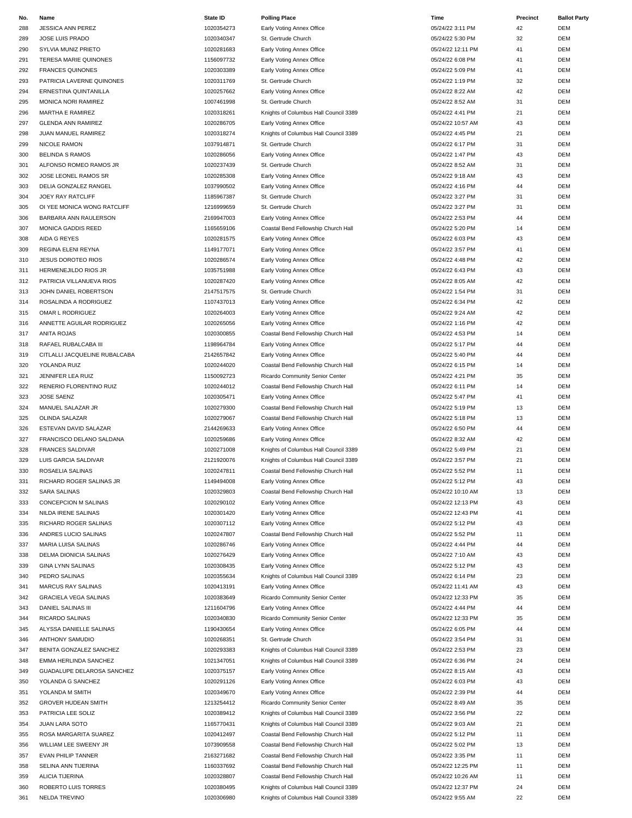| No. | Name                          | <b>State ID</b> | <b>Polling Place</b>                  | Time              | Precinct | <b>Ballot Party</b> |
|-----|-------------------------------|-----------------|---------------------------------------|-------------------|----------|---------------------|
| 288 | JESSICA ANN PEREZ             | 1020354273      | Early Voting Annex Office             | 05/24/22 3:11 PM  | 42       | <b>DEM</b>          |
| 289 | JOSE LUIS PRADO               | 1020340347      | St. Gertrude Church                   | 05/24/22 5:30 PM  | 32       | DEM                 |
| 290 | SYLVIA MUNIZ PRIETO           | 1020281683      | Early Voting Annex Office             | 05/24/22 12:11 PM | 41       | <b>DEM</b>          |
| 291 | <b>TERESA MARIE QUINONES</b>  | 1156097732      | Early Voting Annex Office             | 05/24/22 6:08 PM  | 41       | <b>DEM</b>          |
| 292 | <b>FRANCES QUINONES</b>       | 1020303389      | Early Voting Annex Office             | 05/24/22 5:09 PM  | 41       | <b>DEM</b>          |
| 293 | PATRICIA LAVERNE QUINONES     | 1020311769      | St. Gertrude Church                   | 05/24/22 1:19 PM  | 32       | <b>DEM</b>          |
| 294 | ERNESTINA QUINTANILLA         | 1020257662      | Early Voting Annex Office             | 05/24/22 8:22 AM  | 42       | <b>DEM</b>          |
| 295 | MONICA NORI RAMIREZ           | 1007461998      | St. Gertrude Church                   | 05/24/22 8:52 AM  | 31       | <b>DEM</b>          |
| 296 | MARTHA E RAMIREZ              | 1020318261      | Knights of Columbus Hall Council 3389 | 05/24/22 4:41 PM  | 21       | <b>DEM</b>          |
| 297 | <b>GLENDA ANN RAMIREZ</b>     | 1020286705      | Early Voting Annex Office             | 05/24/22 10:57 AM | 43       | <b>DEM</b>          |
|     | JUAN MANUEL RAMIREZ           | 1020318274      |                                       | 05/24/22 4:45 PM  | 21       | <b>DEM</b>          |
| 298 |                               |                 | Knights of Columbus Hall Council 3389 |                   |          |                     |
| 299 | <b>NICOLE RAMON</b>           | 1037914871      | St. Gertrude Church                   | 05/24/22 6:17 PM  | 31       | DEM                 |
| 300 | <b>BELINDA S RAMOS</b>        | 1020286056      | Early Voting Annex Office             | 05/24/22 1:47 PM  | 43       | <b>DEM</b>          |
| 301 | ALFONSO ROMEO RAMOS JR        | 1020237439      | St. Gertrude Church                   | 05/24/22 8:52 AM  | 31       | <b>DEM</b>          |
| 302 | JOSE LEONEL RAMOS SR          | 1020285308      | Early Voting Annex Office             | 05/24/22 9:18 AM  | 43       | <b>DEM</b>          |
| 303 | DELIA GONZALEZ RANGEL         | 1037990502      | Early Voting Annex Office             | 05/24/22 4:16 PM  | 44       | <b>DEM</b>          |
| 304 | JOEY RAY RATCLIFF             | 1185967387      | St. Gertrude Church                   | 05/24/22 3:27 PM  | 31       | <b>DEM</b>          |
| 305 | OI YEE MONICA WONG RATCLIFF   | 1216999659      | St. Gertrude Church                   | 05/24/22 3:27 PM  | 31       | <b>DEM</b>          |
| 306 | BARBARA ANN RAULERSON         | 2169947003      | Early Voting Annex Office             | 05/24/22 2:53 PM  | 44       | <b>DEM</b>          |
| 307 | MONICA GADDIS REED            | 1165659106      | Coastal Bend Fellowship Church Hall   | 05/24/22 5:20 PM  | 14       | <b>DEM</b>          |
| 308 | AIDA G REYES                  | 1020281575      | Early Voting Annex Office             | 05/24/22 6:03 PM  | 43       | <b>DEM</b>          |
| 309 | REGINA ELENI REYNA            | 1149177071      | Early Voting Annex Office             | 05/24/22 3:57 PM  | 41       | <b>DEM</b>          |
| 310 | <b>JESUS DOROTEO RIOS</b>     | 1020286574      | Early Voting Annex Office             | 05/24/22 4:48 PM  | 42       | <b>DEM</b>          |
| 311 | HERMENEJILDO RIOS JR          | 1035751988      | Early Voting Annex Office             | 05/24/22 6:43 PM  | 43       | <b>DEM</b>          |
| 312 | PATRICIA VILLANUEVA RIOS      | 1020287420      | Early Voting Annex Office             | 05/24/22 8:05 AM  | 42       | <b>DEM</b>          |
| 313 | JOHN DANIEL ROBERTSON         | 2147517575      | St. Gertrude Church                   | 05/24/22 1:54 PM  | 31       | <b>DEM</b>          |
| 314 | ROSALINDA A RODRIGUEZ         | 1107437013      | Early Voting Annex Office             | 05/24/22 6:34 PM  | 42       | <b>DEM</b>          |
| 315 | OMAR L RODRIGUEZ              | 1020264003      | Early Voting Annex Office             | 05/24/22 9:24 AM  | 42       | <b>DEM</b>          |
|     |                               |                 |                                       |                   | 42       | <b>DEM</b>          |
| 316 | ANNETTE AGUILAR RODRIGUEZ     | 1020265056      | Early Voting Annex Office             | 05/24/22 1:16 PM  |          |                     |
| 317 | ANITA ROJAS                   | 1020300855      | Coastal Bend Fellowship Church Hall   | 05/24/22 4:53 PM  | 14       | <b>DEM</b>          |
| 318 | RAFAEL RUBALCABA III          | 1198964784      | Early Voting Annex Office             | 05/24/22 5:17 PM  | 44       | <b>DEM</b>          |
| 319 | CITLALLI JACQUELINE RUBALCABA | 2142657842      | Early Voting Annex Office             | 05/24/22 5:40 PM  | 44       | <b>DEM</b>          |
| 320 | YOLANDA RUIZ                  | 1020244020      | Coastal Bend Fellowship Church Hall   | 05/24/22 6:15 PM  | 14       | <b>DEM</b>          |
| 321 | JENNIFER LEA RUIZ             | 1150092723      | Ricardo Community Senior Center       | 05/24/22 4:21 PM  | 35       | <b>DEM</b>          |
| 322 | RENERIO FLORENTINO RUIZ       | 1020244012      | Coastal Bend Fellowship Church Hall   | 05/24/22 6:11 PM  | 14       | <b>DEM</b>          |
| 323 | JOSE SAENZ                    | 1020305471      | Early Voting Annex Office             | 05/24/22 5:47 PM  | 41       | <b>DEM</b>          |
| 324 | MANUEL SALAZAR JR             | 1020279300      | Coastal Bend Fellowship Church Hall   | 05/24/22 5:19 PM  | 13       | <b>DEM</b>          |
| 325 | OLINDA SALAZAR                | 1020279067      | Coastal Bend Fellowship Church Hall   | 05/24/22 5:18 PM  | 13       | <b>DEM</b>          |
| 326 | ESTEVAN DAVID SALAZAR         | 2144269633      | Early Voting Annex Office             | 05/24/22 6:50 PM  | 44       | <b>DEM</b>          |
| 327 | FRANCISCO DELANO SALDANA      | 1020259686      | Early Voting Annex Office             | 05/24/22 8:32 AM  | 42       | <b>DEM</b>          |
| 328 | <b>FRANCES SALDIVAR</b>       | 1020271008      | Knights of Columbus Hall Council 3389 | 05/24/22 5:49 PM  | 21       | <b>DEM</b>          |
| 329 | LUIS GARCIA SALDIVAR          | 2121920076      | Knights of Columbus Hall Council 3389 | 05/24/22 3:57 PM  | 21       | <b>DEM</b>          |
| 330 | ROSAELIA SALINAS              | 1020247811      | Coastal Bend Fellowship Church Hall   | 05/24/22 5:52 PM  | 11       | <b>DEM</b>          |
| 331 | RICHARD ROGER SALINAS JR      | 1149494008      | Early Voting Annex Office             | 05/24/22 5:12 PM  | 43       | <b>DEM</b>          |
| 332 | <b>SARA SALINAS</b>           | 1020329803      | Coastal Bend Fellowship Church Hall   | 05/24/22 10:10 AM | 13       | <b>DEM</b>          |
| 333 | CONCEPCION M SALINAS          | 1020290102      | Early Voting Annex Office             | 05/24/22 12:13 PM | 43       | <b>DEM</b>          |
| 334 | NILDA IRENE SALINAS           | 1020301420      | Early Voting Annex Office             | 05/24/22 12:43 PM | 41       | <b>DEM</b>          |
| 335 | RICHARD ROGER SALINAS         |                 |                                       | 05/24/22 5:12 PM  | 43       | DEM                 |
|     |                               | 1020307112      | Early Voting Annex Office             |                   |          |                     |
| 336 | ANDRES LUCIO SALINAS          | 1020247807      | Coastal Bend Fellowship Church Hall   | 05/24/22 5:52 PM  | 11       | DEM                 |
| 337 | MARIA LUISA SALINAS           | 1020286746      | Early Voting Annex Office             | 05/24/22 4:44 PM  | 44       | <b>DEM</b>          |
| 338 | DELMA DIONICIA SALINAS        | 1020276429      | Early Voting Annex Office             | 05/24/22 7:10 AM  | 43       | <b>DEM</b>          |
| 339 | <b>GINA LYNN SALINAS</b>      | 1020308435      | Early Voting Annex Office             | 05/24/22 5:12 PM  | 43       | <b>DEM</b>          |
| 340 | PEDRO SALINAS                 | 1020355634      | Knights of Columbus Hall Council 3389 | 05/24/22 6:14 PM  | 23       | <b>DEM</b>          |
| 341 | <b>MARCUS RAY SALINAS</b>     | 1020413191      | Early Voting Annex Office             | 05/24/22 11:41 AM | 43       | DEM                 |
| 342 | <b>GRACIELA VEGA SALINAS</b>  | 1020383649      | Ricardo Community Senior Center       | 05/24/22 12:33 PM | 35       | DEM                 |
| 343 | DANIEL SALINAS III            | 1211604796      | Early Voting Annex Office             | 05/24/22 4:44 PM  | 44       | <b>DEM</b>          |
| 344 | RICARDO SALINAS               | 1020340830      | Ricardo Community Senior Center       | 05/24/22 12:33 PM | 35       | <b>DEM</b>          |
| 345 | ALYSSA DANIELLE SALINAS       | 1190430654      | Early Voting Annex Office             | 05/24/22 6:05 PM  | 44       | <b>DEM</b>          |
| 346 | <b>ANTHONY SAMUDIO</b>        | 1020268351      | St. Gertrude Church                   | 05/24/22 3:54 PM  | 31       | <b>DEM</b>          |
| 347 | BENITA GONZALEZ SANCHEZ       | 1020293383      | Knights of Columbus Hall Council 3389 | 05/24/22 2:53 PM  | 23       | <b>DEM</b>          |
| 348 | EMMA HERLINDA SANCHEZ         | 1021347051      | Knights of Columbus Hall Council 3389 | 05/24/22 6:36 PM  | 24       | <b>DEM</b>          |
| 349 | GUADALUPE DELAROSA SANCHEZ    | 1020375157      | Early Voting Annex Office             | 05/24/22 8:15 AM  | 43       | <b>DEM</b>          |
| 350 | YOLANDA G SANCHEZ             | 1020291126      | Early Voting Annex Office             | 05/24/22 6:03 PM  | 43       | <b>DEM</b>          |
|     |                               |                 |                                       |                   |          | DEM                 |
| 351 | YOLANDA M SMITH               | 1020349670      | Early Voting Annex Office             | 05/24/22 2:39 PM  | 44       |                     |
| 352 | <b>GROVER HUDEAN SMITH</b>    | 1213254412      | Ricardo Community Senior Center       | 05/24/22 8:49 AM  | 35       | DEM                 |
| 353 | PATRICIA LEE SOLIZ            | 1020389412      | Knights of Columbus Hall Council 3389 | 05/24/22 3:56 PM  | 22       | <b>DEM</b>          |
| 354 | JUAN LARA SOTO                | 1165770431      | Knights of Columbus Hall Council 3389 | 05/24/22 9:03 AM  | 21       | <b>DEM</b>          |
| 355 | ROSA MARGARITA SUAREZ         | 1020412497      | Coastal Bend Fellowship Church Hall   | 05/24/22 5:12 PM  | 11       | DEM                 |
| 356 | WILLIAM LEE SWEENY JR         | 1073909558      | Coastal Bend Fellowship Church Hall   | 05/24/22 5:02 PM  | 13       | DEM                 |
| 357 | EVAN PHILIP TANNER            | 2163271682      | Coastal Bend Fellowship Church Hall   | 05/24/22 3:35 PM  | 11       | <b>DEM</b>          |
| 358 | SELINA ANN TIJERINA           | 1160337692      | Coastal Bend Fellowship Church Hall   | 05/24/22 12:25 PM | 11       | DEM                 |
| 359 | ALICIA TIJERINA               | 1020328807      | Coastal Bend Fellowship Church Hall   | 05/24/22 10:26 AM | 11       | <b>DEM</b>          |
| 360 | ROBERTO LUIS TORRES           | 1020380495      | Knights of Columbus Hall Council 3389 | 05/24/22 12:37 PM | 24       | DEM                 |
| 361 | <b>NELDA TREVINO</b>          | 1020306980      | Knights of Columbus Hall Council 3389 | 05/24/22 9:55 AM  | 22       | <b>DEM</b>          |